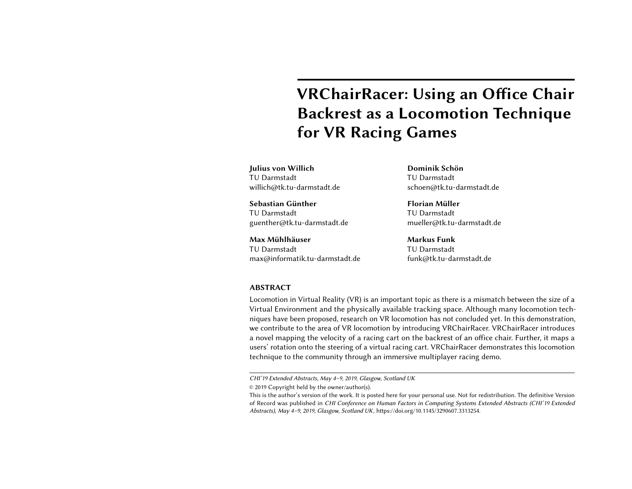# VRChairRacer: Using an Office Chair Backrest as a Locomotion Technique for VR Racing Games

Julius von Willich TU Darmstadt willich@tk.tu-darmstadt.de

Sebastian Günther TU Darmstadt guenther@tk.tu-darmstadt.de

Max Mühlhäuser TU Darmstadt max@informatik.tu-darmstadt.de Dominik Schön TU Darmstadt schoen@tk.tu-darmstadt.de

Florian Müller TU Darmstadt mueller@tk.tu-darmstadt.de

Markus Funk TU Darmstadt funk@tk.tu-darmstadt.de

#### ABSTRACT

Locomotion in Virtual Reality (VR) is an important topic as there is a mismatch between the size of a Virtual Environment and the physically available tracking space. Although many locomotion techniques have been proposed, research on VR locomotion has not concluded yet. In this demonstration, we contribute to the area of VR locomotion by introducing VRChairRacer. VRChairRacer introduces a novel mapping the velocity of a racing cart on the backrest of an office chair. Further, it maps a users' rotation onto the steering of a virtual racing cart. VRChairRacer demonstrates this locomotion technique to the community through an immersive multiplayer racing demo.

CHI'19 Extended Abstracts, May 4–9, 2019, Glasgow, Scotland UK

<sup>©</sup> 2019 Copyright held by the owner/author(s).

This is the author's version of the work. It is posted here for your personal use. Not for redistribution. The definitive Version of Record was published in CHI Conference on Human Factors in Computing Systems Extended Abstracts (CHI'19 Extended Abstracts), May 4–9, 2019, Glasgow, Scotland UK, [https://doi.org/10.1145/3290607.3313254.](https://doi.org/10.1145/3290607.3313254)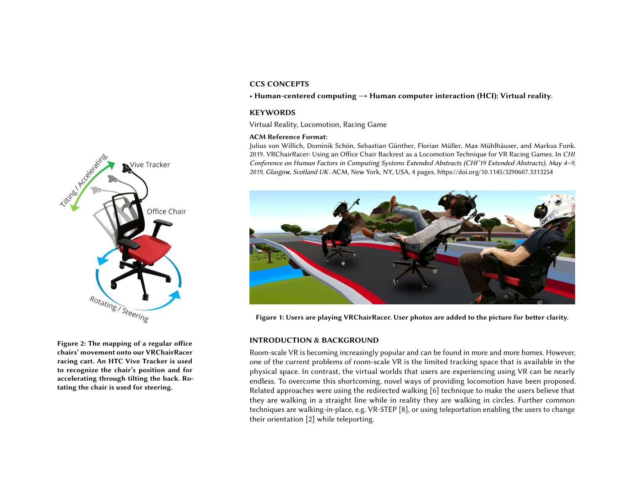## CCS CONCEPTS

• Human-centered computing  $\rightarrow$  Human computer interaction (HCI); Virtual reality.

### **KEYWORDS**

Virtual Reality, Locomotion, Racing Game

#### ACM Reference Format:

Julius von Willich, Dominik Schön, Sebastian Günther, Florian Müller, Max Mühlhäuser, and Markus Funk. 2019. VRChairRacer: Using an Office Chair Backrest as a Locomotion Technique for VR Racing Games. In CHI Conference on Human Factors in Computing Systems Extended Abstracts (CHI'19 Extended Abstracts), May 4–9, 2019, Glasgow, Scotland UK. ACM, New York, NY, USA, [4](#page-3-0) pages.<https://doi.org/10.1145/3290607.3313254>

<span id="page-1-1"></span>

Figure 1: Users are playing VRChairRacer. User photos are added to the picture for better clarity.

### <span id="page-1-0"></span>INTRODUCTION & BACKGROUND

Room-scale VR is becoming increasingly popular and can be found in more and more homes. However, one of the current problems of room-scale VR is the limited tracking space that is available in the physical space. In contrast, the virtual worlds that users are experiencing using VR can be nearly endless. To overcome this shortcoming, novel ways of providing locomotion have been proposed. Related approaches were using the redirected walking [\[6\]](#page-3-1) technique to make the users believe that they are walking in a straight line while in reality they are walking in circles. Further common techniques are walking-in-place, e.g. VR-STEP [\[8\]](#page-3-2), or using teleportation enabling the users to change their orientation [\[2\]](#page-3-3) while teleporting.



Figure 2: The mapping of a regular office chairs' movement onto our VRChairRacer racing cart. An HTC Vive Tracker is used to recognize the chair's position and for accelerating through tilting the back. Rotating the chair is used for steering.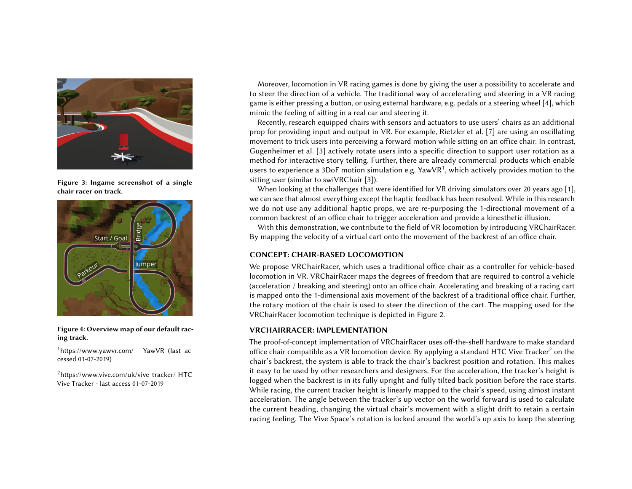

Figure 3: Ingame screenshot of a single chair racer on track.



Figure 4: Overview map of our default racing track.

<span id="page-2-0"></span> $1$ <https://www.yawvr.com/> - YawVR (last accessed 01-07-2019)

<span id="page-2-1"></span><sup>2</sup><https://www.vive.com/uk/vive-tracker/> HTC Vive Tracker - last access 01-07-2019

Moreover, locomotion in VR racing games is done by giving the user a possibility to accelerate and to steer the direction of a vehicle. The traditional way of accelerating and steering in a VR racing game is either pressing a button, or using external hardware, e.g. pedals or a steering wheel [\[4\]](#page-3-4), which mimic the feeling of sitting in a real car and steering it.

<span id="page-2-2"></span>Recently, research equipped chairs with sensors and actuators to use users' chairs as an additional prop for providing input and output in VR. For example, Rietzler et al. [\[7\]](#page-3-5) are using an oscillating movement to trick users into perceiving a forward motion while sitting on an office chair. In contrast, Gugenheimer et al. [\[3\]](#page-3-6) actively rotate users into a specific direction to support user rotation as a method for interactive story telling. Further, there are already commercial products which enable users to experience a 3DoF motion simulation e.g. YawVR $^{\rm 1}$  $^{\rm 1}$  $^{\rm 1}$ , which actively provides motion to the sitting user (similar to swiVRChair [\[3\]](#page-3-6)).

When looking at the challenges that were identified for VR driving simulators over 20 years ago [\[1\]](#page-3-7), we can see that almost everything except the haptic feedback has been resolved. While in this research we do not use any additional haptic props, we are re-purposing the 1-directional movement of a common backrest of an office chair to trigger acceleration and provide a kinesthetic illusion.

With this demonstration, we contribute to the field of VR locomotion by introducing VRChairRacer. By mapping the velocity of a virtual cart onto the movement of the backrest of an office chair.

## CONCEPT: CHAIR-BASED LOCOMOTION

We propose VRChairRacer, which uses a traditional office chair as a controller for vehicle-based locomotion in VR. VRChairRacer maps the degrees of freedom that are required to control a vehicle (acceleration / breaking and steering) onto an office chair. Accelerating and breaking of a racing cart is mapped onto the 1-dimensional axis movement of the backrest of a traditional office chair. Further, the rotary motion of the chair is used to steer the direction of the cart. The mapping used for the VRChairRacer locomotion technique is depicted in Figure [2.](#page-1-0)

### VRCHAIRRACER: IMPLEMENTATION

The proof-of-concept implementation of VRChairRacer uses off-the-shelf hardware to make standard office chair compatible as a VR locomotion device. By applying a standard HTC Vive Tracker<sup>[2](#page-2-1)</sup> on the chair's backrest, the system is able to track the chair's backrest position and rotation. This makes it easy to be used by other researchers and designers. For the acceleration, the tracker's height is logged when the backrest is in its fully upright and fully tilted back position before the race starts. While racing, the current tracker height is linearly mapped to the chair's speed, using almost instant acceleration. The angle between the tracker's up vector on the world forward is used to calculate the current heading, changing the virtual chair's movement with a slight drift to retain a certain racing feeling. The Vive Space's rotation is locked around the world's up axis to keep the steering